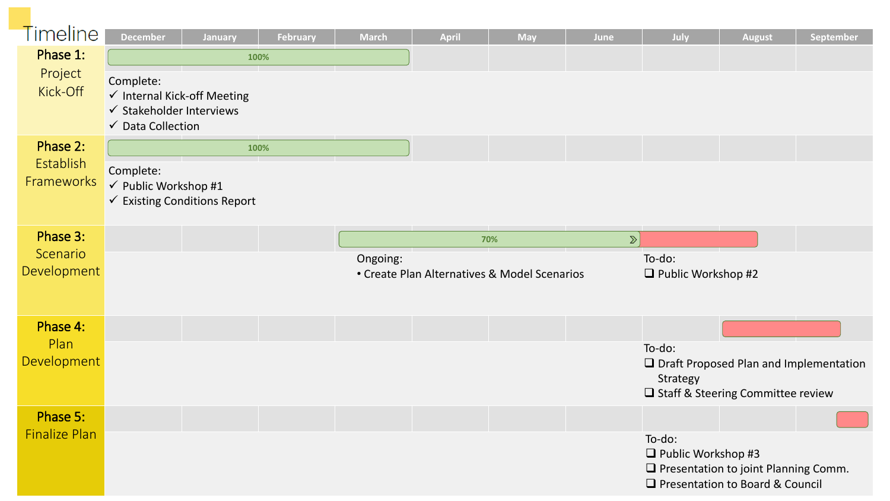| <b>Timeline</b>                     |                                                                                                             |                                   |                 |              |                                              |            |        |                                                                                                                           |               |                                          |
|-------------------------------------|-------------------------------------------------------------------------------------------------------------|-----------------------------------|-----------------|--------------|----------------------------------------------|------------|--------|---------------------------------------------------------------------------------------------------------------------------|---------------|------------------------------------------|
| Phase 1:                            | <b>December</b>                                                                                             | January                           | <b>February</b> | <b>March</b> | April                                        | <b>May</b> | June   | July                                                                                                                      | <b>August</b> | September                                |
| Project<br>Kick-Off                 | Complete:<br>√ Internal Kick-off Meeting<br>$\checkmark$ Stakeholder Interviews<br><b>√</b> Data Collection | 100%                              |                 |              |                                              |            |        |                                                                                                                           |               |                                          |
| Phase 2:<br>Establish<br>Frameworks |                                                                                                             | 100%                              |                 |              |                                              |            |        |                                                                                                                           |               |                                          |
|                                     | Complete:<br>√ Public Workshop #1                                                                           | <b>Existing Conditions Report</b> |                 |              |                                              |            |        |                                                                                                                           |               |                                          |
| Phase 3:                            |                                                                                                             |                                   |                 |              | 70%                                          |            | $\sum$ |                                                                                                                           |               |                                          |
| Scenario<br>Development             |                                                                                                             |                                   |                 | Ongoing:     | • Create Plan Alternatives & Model Scenarios |            |        | To-do:<br>$\Box$ Public Workshop #2                                                                                       |               |                                          |
| Phase 4:                            |                                                                                                             |                                   |                 |              |                                              |            |        |                                                                                                                           |               |                                          |
| Plan<br>Development                 |                                                                                                             |                                   |                 |              |                                              |            |        | To-do:<br>Strategy<br>□ Staff & Steering Committee review                                                                 |               | □ Draft Proposed Plan and Implementation |
| Phase 5:                            |                                                                                                             |                                   |                 |              |                                              |            |        |                                                                                                                           |               |                                          |
| <b>Finalize Plan</b>                |                                                                                                             |                                   |                 |              |                                              |            |        | To-do:<br>$\Box$ Public Workshop #3<br><b>Q</b> Presentation to joint Planning Comm.<br>□ Presentation to Board & Council |               |                                          |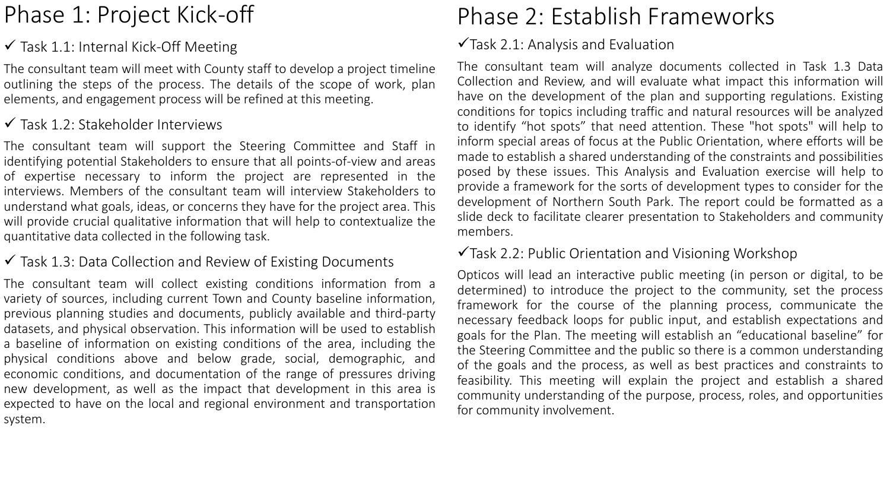# Phase 1: Project Kick-off

## $\checkmark$  Task 1.1: Internal Kick-Off Meeting

The consultant team will meet with County staff to develop a project timeline outlining the steps of the process. The details of the scope of work, plan elements, and engagement process will be refined at this meeting.

## $\checkmark$  Task 1.2: Stakeholder Interviews

The consultant team will support the Steering Committee and Staff in identifying potential Stakeholders to ensure that all points-of-view and areas of expertise necessary to inform the project are represented in the interviews. Members of the consultant team will interview Stakeholders to understand what goals, ideas, or concerns they have for the project area. This will provide crucial qualitative information that will help to contextualize the quantitative data collected in the following task.

### $\checkmark$  Task 1.3: Data Collection and Review of Existing Documents

The consultant team will collect existing conditions information from a variety of sources, including current Town and County baseline information, previous planning studies and documents, publicly available and third-party datasets, and physical observation. This information will be used to establish a baseline of information on existing conditions of the area, including the physical conditions above and below grade, social, demographic, and economic conditions, and documentation of the range of pressures driving new development, as well as the impact that development in this area is expected to have on the local and regional environment and transportation system.

# Phase 2: Establish Frameworks

### $\sqrt{\text{Task}}$  2.1: Analysis and Evaluation

The consultant team will analyze documents collected in Task 1.3 Data Collection and Review, and will evaluate what impact this information will have on the development of the plan and supporting regulations. Existing conditions for topics including traffic and natural resources will be analyzed to identify "hot spots" that need attention. These "hot spots" will help to inform special areas of focus at the Public Orientation, where efforts will be made to establish a shared understanding of the constraints and possibilities posed by these issues. This Analysis and Evaluation exercise will help to provide a framework for the sorts of development types to consider for the development of Northern South Park. The report could be formatted as a slide deck to facilitate clearer presentation to Stakeholders and community members.

### Task 2.2: Public Orientation and Visioning Workshop

Opticos will lead an interactive public meeting (in person or digital, to be determined) to introduce the project to the community, set the process framework for the course of the planning process, communicate the necessary feedback loops for public input, and establish expectations and goals for the Plan. The meeting will establish an "educational baseline" for the Steering Committee and the public so there is a common understanding of the goals and the process, as well as best practices and constraints to feasibility. This meeting will explain the project and establish a shared community understanding of the purpose, process, roles, and opportunities for community involvement.